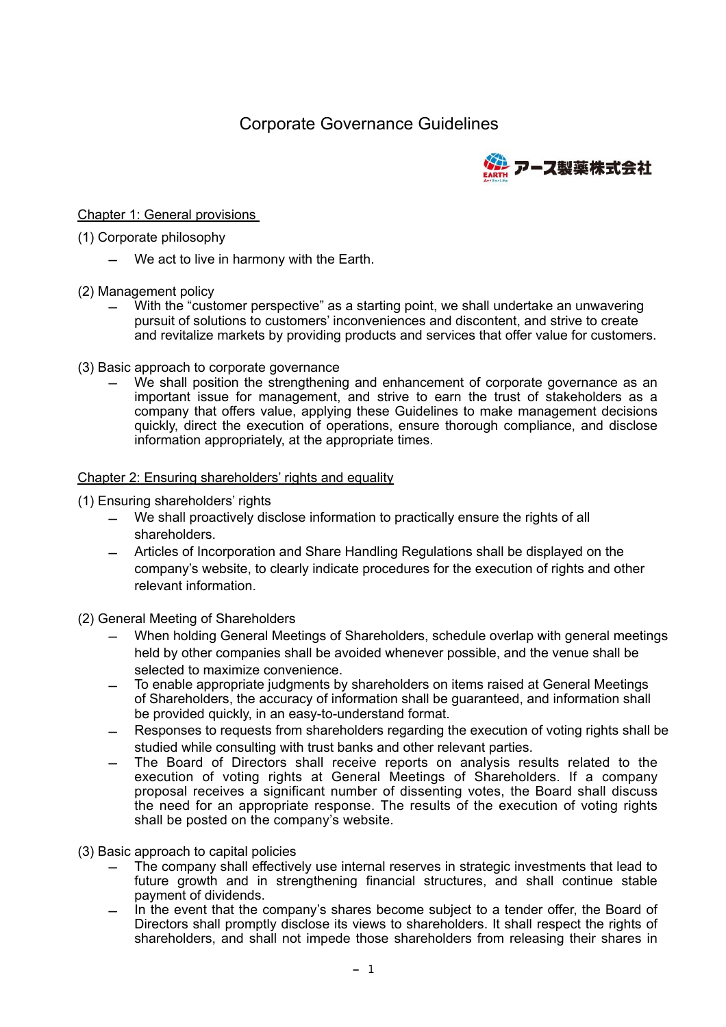# Corporate Governance Guidelines



### Chapter 1: General provisions

#### (1) Corporate philosophy

- We act to live in harmony with the Earth.
- (2) Management policy
	- With the "customer perspective" as a starting point, we shall undertake an unwavering pursuit of solutions to customers' inconveniences and discontent, and strive to create and revitalize markets by providing products and services that offer value for customers.
- (3) Basic approach to corporate governance
	- We shall position the strengthening and enhancement of corporate governance as an important issue for management, and strive to earn the trust of stakeholders as a company that offers value, applying these Guidelines to make management decisions quickly, direct the execution of operations, ensure thorough compliance, and disclose information appropriately, at the appropriate times.

#### Chapter 2: Ensuring shareholders' rights and equality

#### (1) Ensuring shareholders' rights

- We shall proactively disclose information to practically ensure the rights of all shareholders.
- Articles of Incorporation and Share Handling Regulations shall be displayed on the company's website, to clearly indicate procedures for the execution of rights and other relevant information.
- (2) General Meeting of Shareholders
	- When holding General Meetings of Shareholders, schedule overlap with general meetings held by other companies shall be avoided whenever possible, and the venue shall be selected to maximize convenience.
	- To enable appropriate judgments by shareholders on items raised at General Meetings of Shareholders, the accuracy of information shall be guaranteed, and information shall be provided quickly, in an easy-to-understand format.
	- Responses to requests from shareholders regarding the execution of voting rights shall be studied while consulting with trust banks and other relevant parties.
	- The Board of Directors shall receive reports on analysis results related to the execution of voting rights at General Meetings of Shareholders. If a company proposal receives a significant number of dissenting votes, the Board shall discuss the need for an appropriate response. The results of the execution of voting rights shall be posted on the company's website.
- (3) Basic approach to capital policies
	- The company shall effectively use internal reserves in strategic investments that lead to future growth and in strengthening financial structures, and shall continue stable payment of dividends.
	- In the event that the company's shares become subject to a tender offer, the Board of Directors shall promptly disclose its views to shareholders. It shall respect the rights of shareholders, and shall not impede those shareholders from releasing their shares in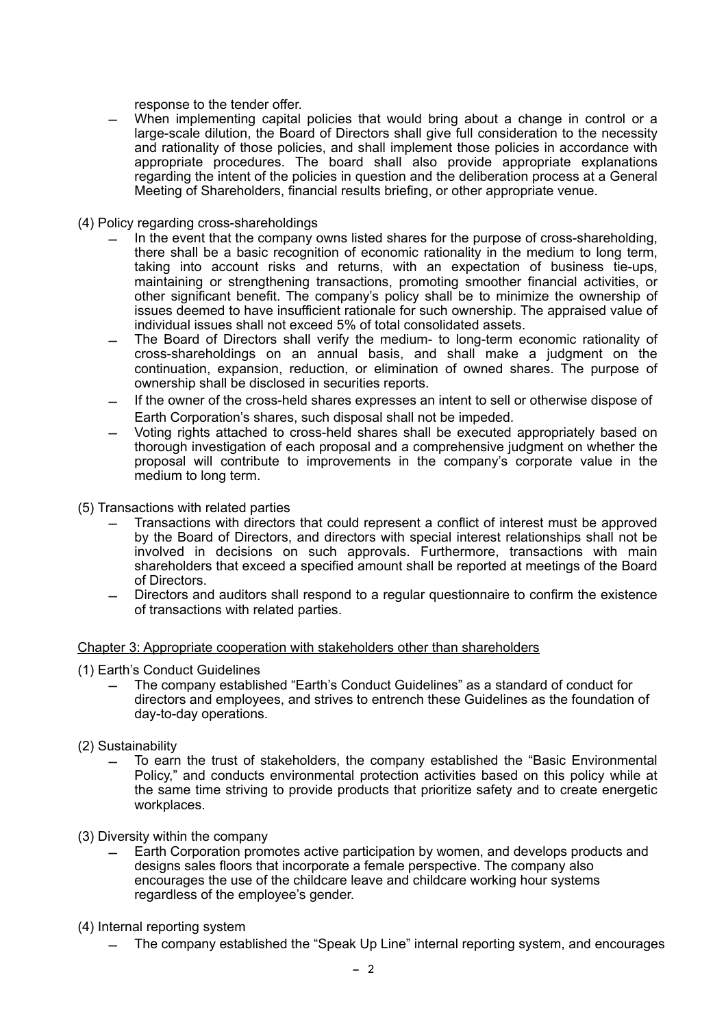response to the tender offer.

- When implementing capital policies that would bring about a change in control or a large-scale dilution, the Board of Directors shall give full consideration to the necessity and rationality of those policies, and shall implement those policies in accordance with appropriate procedures. The board shall also provide appropriate explanations regarding the intent of the policies in question and the deliberation process at a General Meeting of Shareholders, financial results briefing, or other appropriate venue.
- (4) Policy regarding cross-shareholdings
	- In the event that the company owns listed shares for the purpose of cross-shareholding, there shall be a basic recognition of economic rationality in the medium to long term, taking into account risks and returns, with an expectation of business tie-ups, maintaining or strengthening transactions, promoting smoother financial activities, or other significant benefit. The company's policy shall be to minimize the ownership of issues deemed to have insufficient rationale for such ownership. The appraised value of individual issues shall not exceed 5% of total consolidated assets.
	- The Board of Directors shall verify the medium- to long-term economic rationality of cross-shareholdings on an annual basis, and shall make a judgment on the continuation, expansion, reduction, or elimination of owned shares. The purpose of ownership shall be disclosed in securities reports.
	- If the owner of the cross-held shares expresses an intent to sell or otherwise dispose of Earth Corporation's shares, such disposal shall not be impeded.
	- Voting rights attached to cross-held shares shall be executed appropriately based on thorough investigation of each proposal and a comprehensive judgment on whether the proposal will contribute to improvements in the company's corporate value in the medium to long term.
- (5) Transactions with related parties
	- Transactions with directors that could represent a conflict of interest must be approved by the Board of Directors, and directors with special interest relationships shall not be involved in decisions on such approvals. Furthermore, transactions with main shareholders that exceed a specified amount shall be reported at meetings of the Board of Directors.
	- Directors and auditors shall respond to a regular questionnaire to confirm the existence of transactions with related parties.

#### Chapter 3: Appropriate cooperation with stakeholders other than shareholders

- (1) Earth's Conduct Guidelines
	- The company established "Earth's Conduct Guidelines" as a standard of conduct for directors and employees, and strives to entrench these Guidelines as the foundation of day-to-day operations.
- (2) Sustainability
	- To earn the trust of stakeholders, the company established the "Basic Environmental Policy," and conducts environmental protection activities based on this policy while at the same time striving to provide products that prioritize safety and to create energetic workplaces.
- (3) Diversity within the company
	- Earth Corporation promotes active participation by women, and develops products and designs sales floors that incorporate a female perspective. The company also encourages the use of the childcare leave and childcare working hour systems regardless of the employee's gender.
- (4) Internal reporting system
	- The company established the "Speak Up Line" internal reporting system, and encourages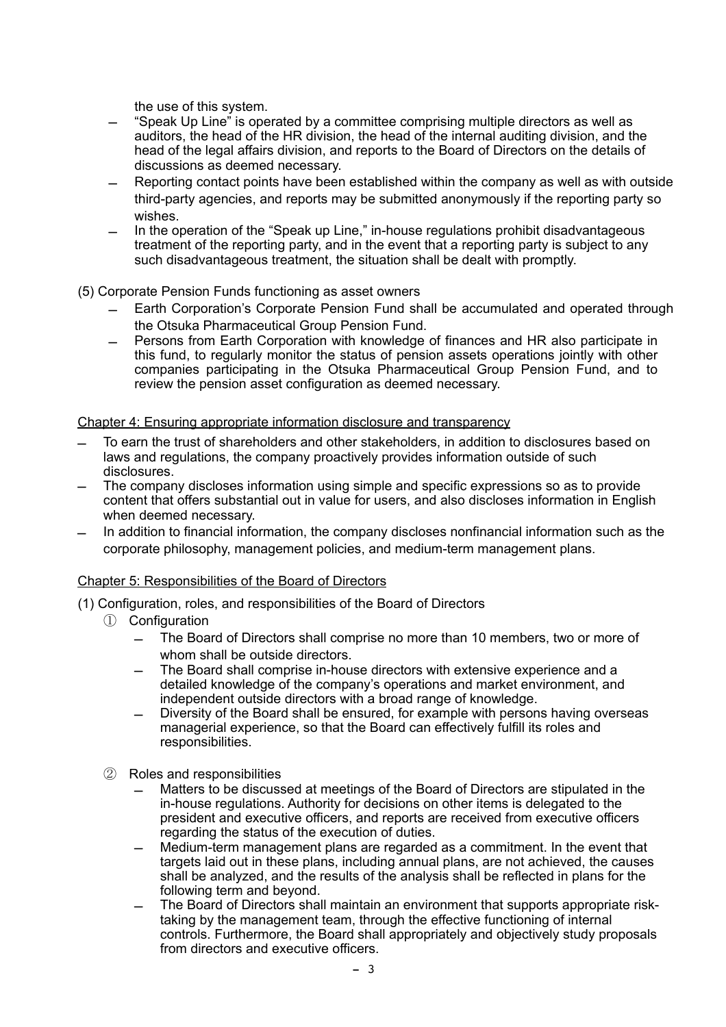the use of this system.

- "Speak Up Line" is operated by a committee comprising multiple directors as well as auditors, the head of the HR division, the head of the internal auditing division, and the head of the legal affairs division, and reports to the Board of Directors on the details of discussions as deemed necessary.
- Reporting contact points have been established within the company as well as with outside third-party agencies, and reports may be submitted anonymously if the reporting party so wishes.
- In the operation of the "Speak up Line," in-house regulations prohibit disadvantageous treatment of the reporting party, and in the event that a reporting party is subject to any such disadvantageous treatment, the situation shall be dealt with promptly.

# (5) Corporate Pension Funds functioning as asset owners

- Earth Corporation's Corporate Pension Fund shall be accumulated and operated through the Otsuka Pharmaceutical Group Pension Fund.
- Persons from Earth Corporation with knowledge of finances and HR also participate in this fund, to regularly monitor the status of pension assets operations jointly with other companies participating in the Otsuka Pharmaceutical Group Pension Fund, and to review the pension asset configuration as deemed necessary.

# Chapter 4: Ensuring appropriate information disclosure and transparency

- To earn the trust of shareholders and other stakeholders, in addition to disclosures based on laws and regulations, the company proactively provides information outside of such disclosures.
- The company discloses information using simple and specific expressions so as to provide content that offers substantial out in value for users, and also discloses information in English when deemed necessary.
- In addition to financial information, the company discloses nonfinancial information such as the corporate philosophy, management policies, and medium-term management plans.

## Chapter 5: Responsibilities of the Board of Directors

- (1) Configuration, roles, and responsibilities of the Board of Directors
	- ① Configuration
		- The Board of Directors shall comprise no more than 10 members, two or more of whom shall be outside directors.
		- The Board shall comprise in-house directors with extensive experience and a detailed knowledge of the company's operations and market environment, and independent outside directors with a broad range of knowledge.
		- Diversity of the Board shall be ensured, for example with persons having overseas managerial experience, so that the Board can effectively fulfill its roles and responsibilities.
	- ② Roles and responsibilities
		- Matters to be discussed at meetings of the Board of Directors are stipulated in the in-house regulations. Authority for decisions on other items is delegated to the president and executive officers, and reports are received from executive officers regarding the status of the execution of duties.
		- Medium-term management plans are regarded as a commitment. In the event that targets laid out in these plans, including annual plans, are not achieved, the causes shall be analyzed, and the results of the analysis shall be reflected in plans for the following term and beyond.
		- The Board of Directors shall maintain an environment that supports appropriate risktaking by the management team, through the effective functioning of internal controls. Furthermore, the Board shall appropriately and objectively study proposals from directors and executive officers.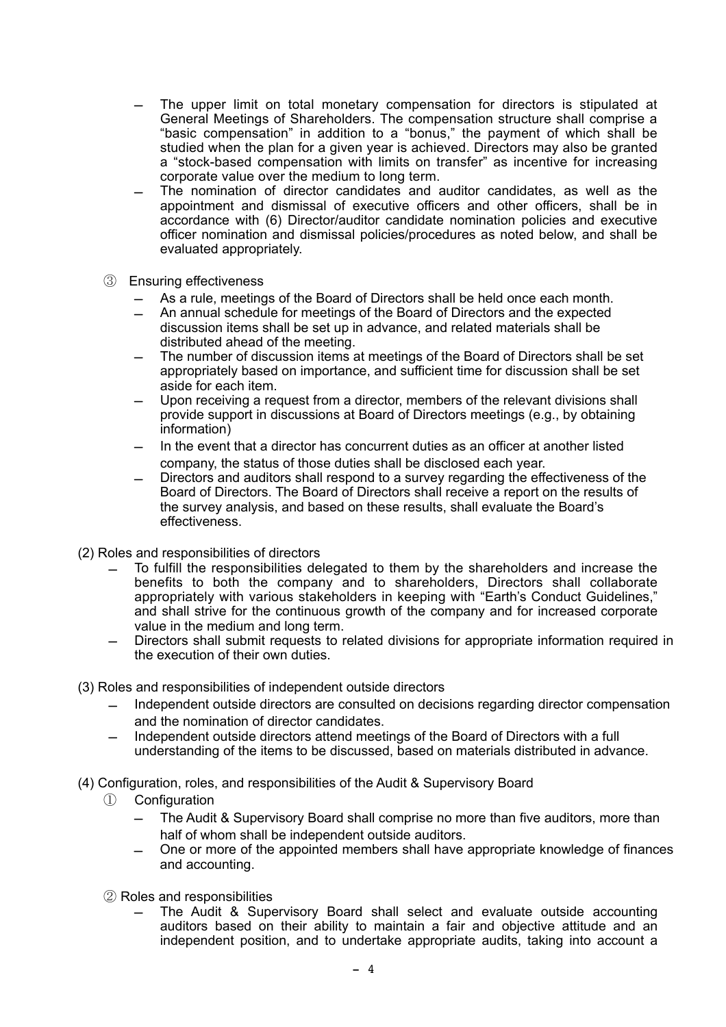- The upper limit on total monetary compensation for directors is stipulated at General Meetings of Shareholders. The compensation structure shall comprise a "basic compensation" in addition to a "bonus," the payment of which shall be studied when the plan for a given year is achieved. Directors may also be granted a "stock-based compensation with limits on transfer" as incentive for increasing corporate value over the medium to long term.
- The nomination of director candidates and auditor candidates, as well as the appointment and dismissal of executive officers and other officers, shall be in accordance with (6) Director/auditor candidate nomination policies and executive officer nomination and dismissal policies/procedures as noted below, and shall be evaluated appropriately.
- ③ Ensuring effectiveness
	- As a rule, meetings of the Board of Directors shall be held once each month.
	- An annual schedule for meetings of the Board of Directors and the expected discussion items shall be set up in advance, and related materials shall be distributed ahead of the meeting.
	- The number of discussion items at meetings of the Board of Directors shall be set appropriately based on importance, and sufficient time for discussion shall be set aside for each item.
	- Upon receiving a request from a director, members of the relevant divisions shall provide support in discussions at Board of Directors meetings (e.g., by obtaining information)
	- In the event that a director has concurrent duties as an officer at another listed company, the status of those duties shall be disclosed each year.
	- Directors and auditors shall respond to a survey regarding the effectiveness of the Board of Directors. The Board of Directors shall receive a report on the results of the survey analysis, and based on these results, shall evaluate the Board's effectiveness.
- (2) Roles and responsibilities of directors
	- To fulfill the responsibilities delegated to them by the shareholders and increase the benefits to both the company and to shareholders, Directors shall collaborate appropriately with various stakeholders in keeping with "Earth's Conduct Guidelines," and shall strive for the continuous growth of the company and for increased corporate value in the medium and long term.
	- Directors shall submit requests to related divisions for appropriate information required in the execution of their own duties.
- (3) Roles and responsibilities of independent outside directors
	- Independent outside directors are consulted on decisions regarding director compensation and the nomination of director candidates.
	- Independent outside directors attend meetings of the Board of Directors with a full understanding of the items to be discussed, based on materials distributed in advance.
- (4) Configuration, roles, and responsibilities of the Audit & Supervisory Board
	- ① Configuration
		- The Audit & Supervisory Board shall comprise no more than five auditors, more than half of whom shall be independent outside auditors.
		- One or more of the appointed members shall have appropriate knowledge of finances and accounting.
	- ② Roles and responsibilities
		- The Audit & Supervisory Board shall select and evaluate outside accounting auditors based on their ability to maintain a fair and objective attitude and an independent position, and to undertake appropriate audits, taking into account a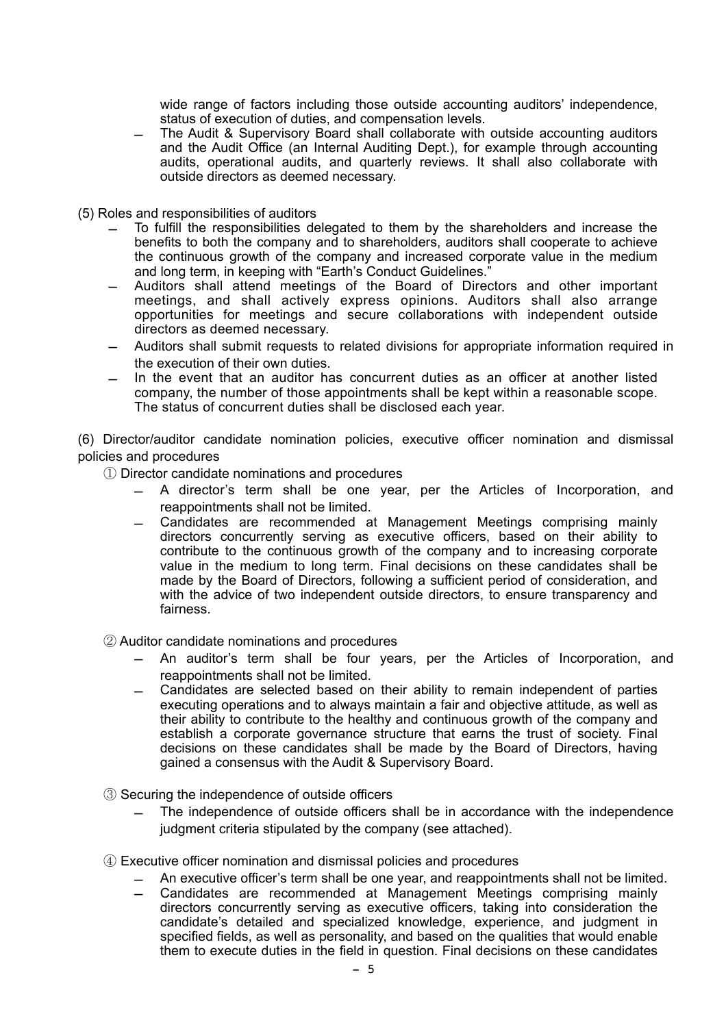wide range of factors including those outside accounting auditors' independence, status of execution of duties, and compensation levels.

- The Audit & Supervisory Board shall collaborate with outside accounting auditors and the Audit Office (an Internal Auditing Dept.), for example through accounting audits, operational audits, and quarterly reviews. It shall also collaborate with outside directors as deemed necessary.
- (5) Roles and responsibilities of auditors
	- To fulfill the responsibilities delegated to them by the shareholders and increase the benefits to both the company and to shareholders, auditors shall cooperate to achieve the continuous growth of the company and increased corporate value in the medium and long term, in keeping with "Earth's Conduct Guidelines."
	- Auditors shall attend meetings of the Board of Directors and other important meetings, and shall actively express opinions. Auditors shall also arrange opportunities for meetings and secure collaborations with independent outside directors as deemed necessary.
	- Auditors shall submit requests to related divisions for appropriate information required in the execution of their own duties.
	- In the event that an auditor has concurrent duties as an officer at another listed company, the number of those appointments shall be kept within a reasonable scope. The status of concurrent duties shall be disclosed each year.

(6) Director/auditor candidate nomination policies, executive officer nomination and dismissal policies and procedures

① Director candidate nominations and procedures

- A director's term shall be one year, per the Articles of Incorporation, and reappointments shall not be limited.
- Candidates are recommended at Management Meetings comprising mainly directors concurrently serving as executive officers, based on their ability to contribute to the continuous growth of the company and to increasing corporate value in the medium to long term. Final decisions on these candidates shall be made by the Board of Directors, following a sufficient period of consideration, and with the advice of two independent outside directors, to ensure transparency and fairness.
- ② Auditor candidate nominations and procedures
	- An auditor's term shall be four years, per the Articles of Incorporation, and reappointments shall not be limited.
	- Candidates are selected based on their ability to remain independent of parties executing operations and to always maintain a fair and objective attitude, as well as their ability to contribute to the healthy and continuous growth of the company and establish a corporate governance structure that earns the trust of society. Final decisions on these candidates shall be made by the Board of Directors, having gained a consensus with the Audit & Supervisory Board.
- ③ Securing the independence of outside officers
	- The independence of outside officers shall be in accordance with the independence judgment criteria stipulated by the company (see attached).
- ④ Executive officer nomination and dismissal policies and procedures
	- An executive officer's term shall be one year, and reappointments shall not be limited.
	- Candidates are recommended at Management Meetings comprising mainly directors concurrently serving as executive officers, taking into consideration the candidate's detailed and specialized knowledge, experience, and judgment in specified fields, as well as personality, and based on the qualities that would enable them to execute duties in the field in question. Final decisions on these candidates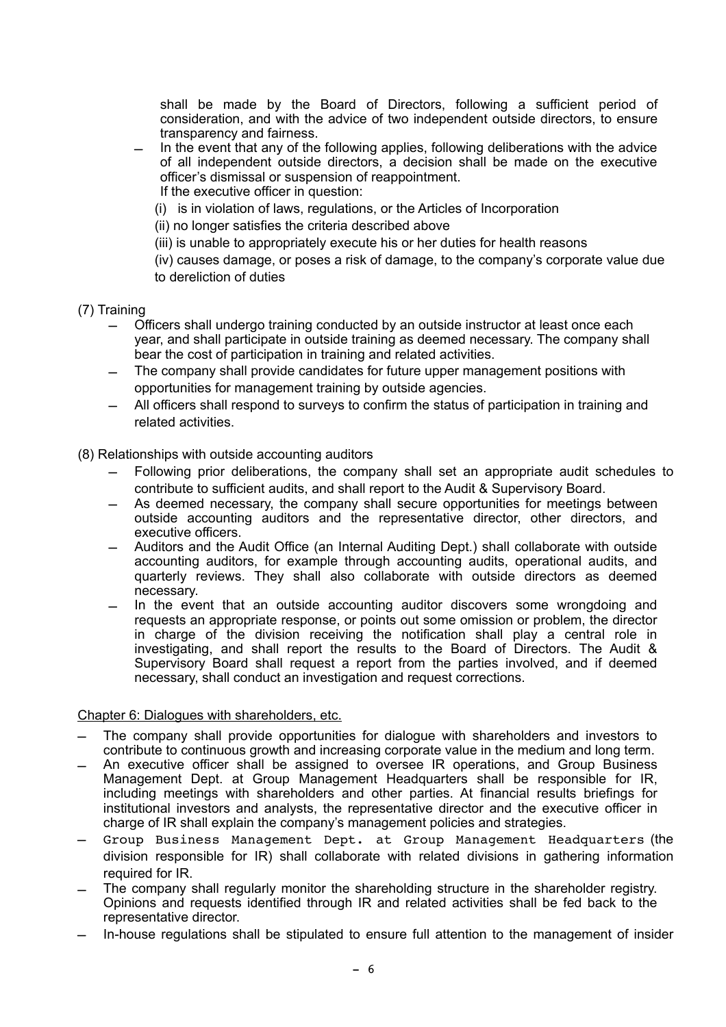shall be made by the Board of Directors, following a sufficient period of consideration, and with the advice of two independent outside directors, to ensure transparency and fairness.

- In the event that any of the following applies, following deliberations with the advice of all independent outside directors, a decision shall be made on the executive officer's dismissal or suspension of reappointment. If the executive officer in question:
	- (i) is in violation of laws, regulations, or the Articles of Incorporation

(ii) no longer satisfies the criteria described above

(iii) is unable to appropriately execute his or her duties for health reasons

(iv) causes damage, or poses a risk of damage, to the company's corporate value due to dereliction of duties

- (7) Training
	- Officers shall undergo training conducted by an outside instructor at least once each year, and shall participate in outside training as deemed necessary. The company shall bear the cost of participation in training and related activities.
	- The company shall provide candidates for future upper management positions with opportunities for management training by outside agencies.
	- All officers shall respond to surveys to confirm the status of participation in training and related activities.

#### (8) Relationships with outside accounting auditors

- Following prior deliberations, the company shall set an appropriate audit schedules to contribute to sufficient audits, and shall report to the Audit & Supervisory Board.
- As deemed necessary, the company shall secure opportunities for meetings between outside accounting auditors and the representative director, other directors, and executive officers.
- Auditors and the Audit Office (an Internal Auditing Dept.) shall collaborate with outside accounting auditors, for example through accounting audits, operational audits, and quarterly reviews. They shall also collaborate with outside directors as deemed necessary.
- In the event that an outside accounting auditor discovers some wrongdoing and requests an appropriate response, or points out some omission or problem, the director in charge of the division receiving the notification shall play a central role in investigating, and shall report the results to the Board of Directors. The Audit & Supervisory Board shall request a report from the parties involved, and if deemed necessary, shall conduct an investigation and request corrections.

#### Chapter 6: Dialogues with shareholders, etc.

- The company shall provide opportunities for dialogue with shareholders and investors to contribute to continuous growth and increasing corporate value in the medium and long term.
- An executive officer shall be assigned to oversee IR operations, and Group Business Management Dept. at Group Management Headquarters shall be responsible for IR, including meetings with shareholders and other parties. At financial results briefings for institutional investors and analysts, the representative director and the executive officer in charge of IR shall explain the company's management policies and strategies.
- Group Business Management Dept. at Group Management Headquarters (the division responsible for IR) shall collaborate with related divisions in gathering information required for IR.
- The company shall regularly monitor the shareholding structure in the shareholder registry. Opinions and requests identified through IR and related activities shall be fed back to the representative director.
- In-house regulations shall be stipulated to ensure full attention to the management of insider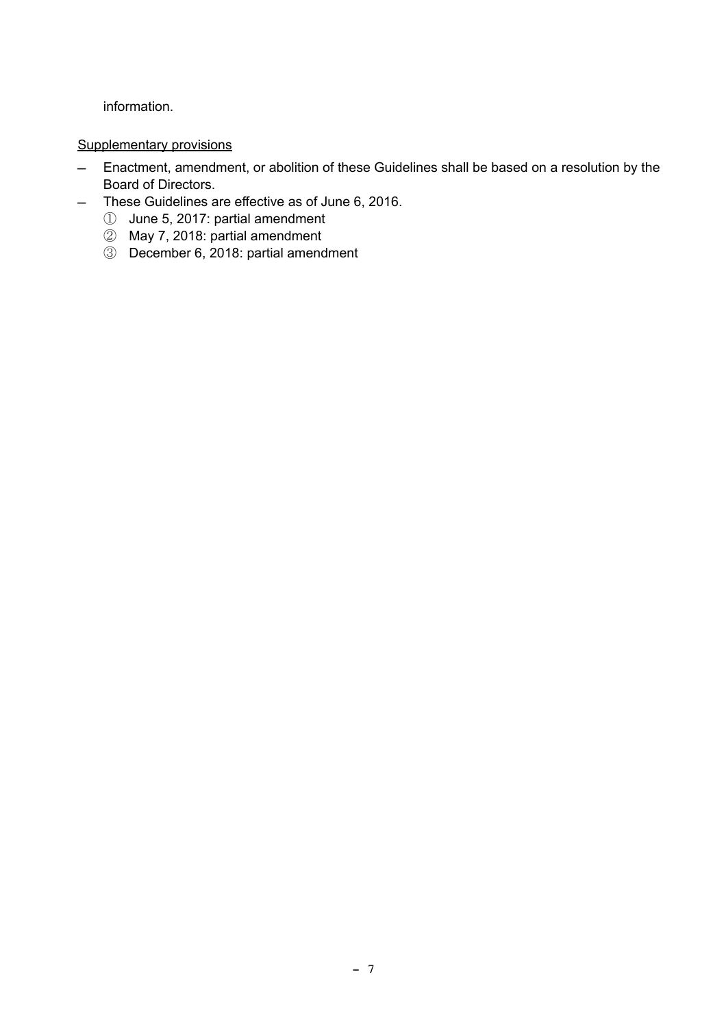information.

## Supplementary provisions

- Enactment, amendment, or abolition of these Guidelines shall be based on a resolution by the Board of Directors.
- These Guidelines are effective as of June 6, 2016.
	- ① June 5, 2017: partial amendment
	- ② May 7, 2018: partial amendment
	- ③ December 6, 2018: partial amendment